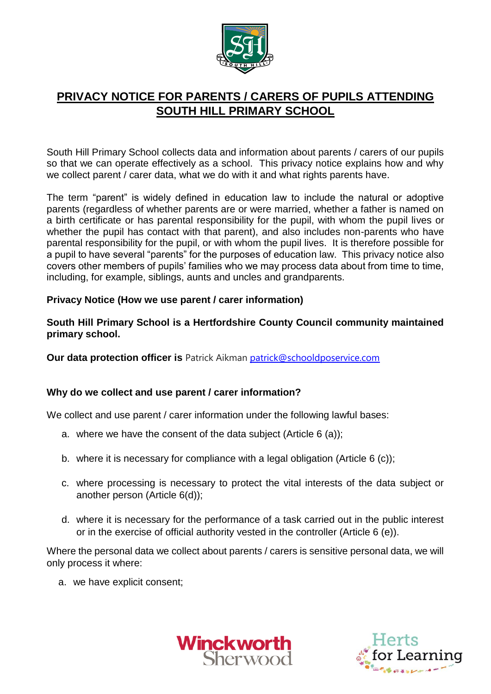

# **PRIVACY NOTICE FOR PARENTS / CARERS OF PUPILS ATTENDING SOUTH HILL PRIMARY SCHOOL**

South Hill Primary School collects data and information about parents / carers of our pupils so that we can operate effectively as a school. This privacy notice explains how and why we collect parent / carer data, what we do with it and what rights parents have.

The term "parent" is widely defined in education law to include the natural or adoptive parents (regardless of whether parents are or were married, whether a father is named on a birth certificate or has parental responsibility for the pupil, with whom the pupil lives or whether the pupil has contact with that parent), and also includes non-parents who have parental responsibility for the pupil, or with whom the pupil lives. It is therefore possible for a pupil to have several "parents" for the purposes of education law. This privacy notice also covers other members of pupils' families who we may process data about from time to time, including, for example, siblings, aunts and uncles and grandparents.

## **Privacy Notice (How we use parent / carer information)**

**South Hill Primary School is a Hertfordshire County Council community maintained primary school.**

**Our data protection officer is** Patrick Aikman [patrick@schooldposervice.com](mailto:patrick@schooldposervice.com)

#### **Why do we collect and use parent / carer information?**

We collect and use parent / carer information under the following lawful bases:

- a. where we have the consent of the data subject (Article 6 (a));
- b. where it is necessary for compliance with a legal obligation (Article 6 (c));
- c. where processing is necessary to protect the vital interests of the data subject or another person (Article 6(d));
- d. where it is necessary for the performance of a task carried out in the public interest or in the exercise of official authority vested in the controller (Article 6 (e)).

Where the personal data we collect about parents / carers is sensitive personal data, we will only process it where:

a. we have explicit consent;



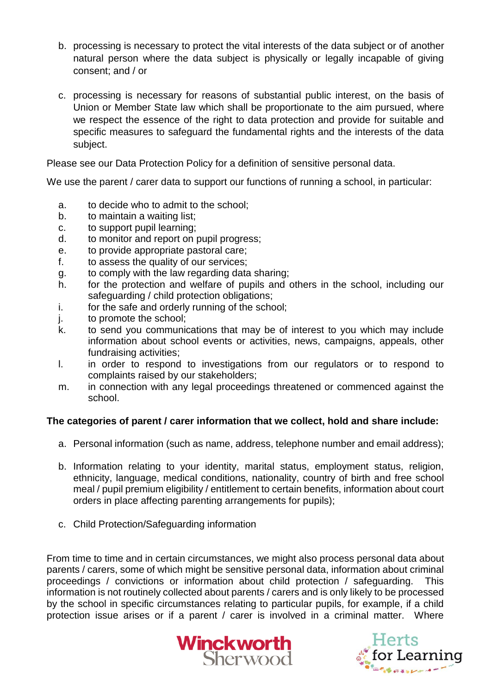- b. processing is necessary to protect the vital interests of the data subject or of another natural person where the data subject is physically or legally incapable of giving consent; and / or
- c. processing is necessary for reasons of substantial public interest, on the basis of Union or Member State law which shall be proportionate to the aim pursued, where we respect the essence of the right to data protection and provide for suitable and specific measures to safeguard the fundamental rights and the interests of the data subject.

Please see our Data Protection Policy for a definition of sensitive personal data.

We use the parent / carer data to support our functions of running a school, in particular:

- a. to decide who to admit to the school;
- b. to maintain a waiting list;
- c. to support pupil learning;
- d. to monitor and report on pupil progress;
- e. to provide appropriate pastoral care;
- f. to assess the quality of our services;
- g. to comply with the law regarding data sharing;
- h. for the protection and welfare of pupils and others in the school, including our safeguarding / child protection obligations;
- i. for the safe and orderly running of the school;
- j. to promote the school;
- k. to send you communications that may be of interest to you which may include information about school events or activities, news, campaigns, appeals, other fundraising activities;
- l. in order to respond to investigations from our regulators or to respond to complaints raised by our stakeholders;
- m. in connection with any legal proceedings threatened or commenced against the school.

# **The categories of parent / carer information that we collect, hold and share include:**

- a. Personal information (such as name, address, telephone number and email address);
- b. Information relating to your identity, marital status, employment status, religion, ethnicity, language, medical conditions, nationality, country of birth and free school meal / pupil premium eligibility / entitlement to certain benefits, information about court orders in place affecting parenting arrangements for pupils);
- c. Child Protection/Safeguarding information

From time to time and in certain circumstances, we might also process personal data about parents / carers, some of which might be sensitive personal data, information about criminal proceedings / convictions or information about child protection / safeguarding. This information is not routinely collected about parents / carers and is only likely to be processed by the school in specific circumstances relating to particular pupils, for example, if a child protection issue arises or if a parent / carer is involved in a criminal matter. Where



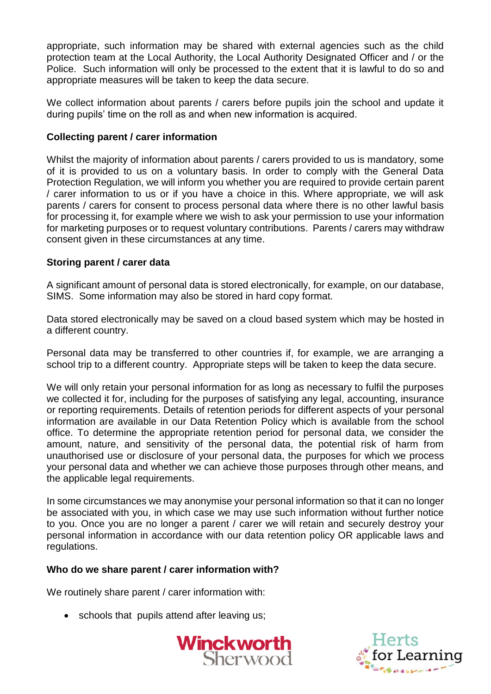appropriate, such information may be shared with external agencies such as the child protection team at the Local Authority, the Local Authority Designated Officer and / or the Police. Such information will only be processed to the extent that it is lawful to do so and appropriate measures will be taken to keep the data secure.

We collect information about parents / carers before pupils join the school and update it during pupils' time on the roll as and when new information is acquired.

## **Collecting parent / carer information**

Whilst the majority of information about parents / carers provided to us is mandatory, some of it is provided to us on a voluntary basis. In order to comply with the General Data Protection Regulation, we will inform you whether you are required to provide certain parent / carer information to us or if you have a choice in this. Where appropriate, we will ask parents / carers for consent to process personal data where there is no other lawful basis for processing it, for example where we wish to ask your permission to use your information for marketing purposes or to request voluntary contributions. Parents / carers may withdraw consent given in these circumstances at any time.

#### **Storing parent / carer data**

A significant amount of personal data is stored electronically, for example, on our database, SIMS. Some information may also be stored in hard copy format.

Data stored electronically may be saved on a cloud based system which may be hosted in a different country.

Personal data may be transferred to other countries if, for example, we are arranging a school trip to a different country. Appropriate steps will be taken to keep the data secure.

We will only retain your personal information for as long as necessary to fulfil the purposes we collected it for, including for the purposes of satisfying any legal, accounting, insurance or reporting requirements. Details of retention periods for different aspects of your personal information are available in our Data Retention Policy which is available from the school office. To determine the appropriate retention period for personal data, we consider the amount, nature, and sensitivity of the personal data, the potential risk of harm from unauthorised use or disclosure of your personal data, the purposes for which we process your personal data and whether we can achieve those purposes through other means, and the applicable legal requirements.

In some circumstances we may anonymise your personal information so that it can no longer be associated with you, in which case we may use such information without further notice to you. Once you are no longer a parent / carer we will retain and securely destroy your personal information in accordance with our data retention policy OR applicable laws and regulations.

#### **Who do we share parent / carer information with?**

We routinely share parent / carer information with:

• schools that pupils attend after leaving us;



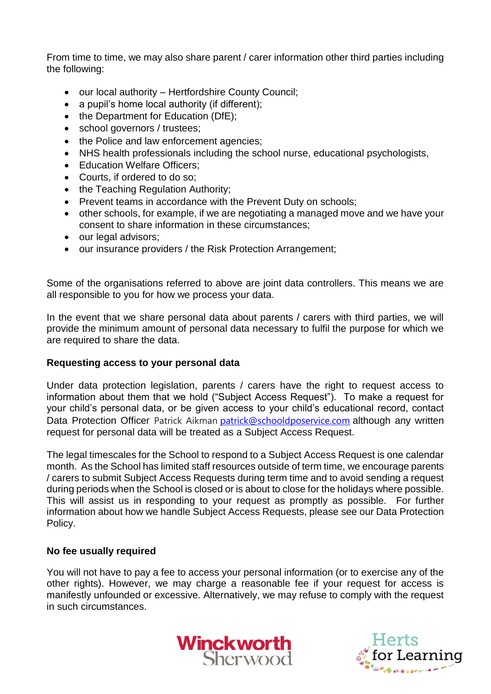From time to time, we may also share parent / carer information other third parties including the following:

- our local authority Hertfordshire County Council;
- a pupil's home local authority (if different):
- the Department for Education (DfE);
- school governors / trustees;
- the Police and law enforcement agencies;
- NHS health professionals including the school nurse, educational psychologists,
- Education Welfare Officers;
- Courts, if ordered to do so:
- the Teaching Regulation Authority;
- Prevent teams in accordance with the Prevent Duty on schools;
- other schools, for example, if we are negotiating a managed move and we have your consent to share information in these circumstances;
- our legal advisors;
- our insurance providers / the Risk Protection Arrangement;

Some of the organisations referred to above are joint data controllers. This means we are all responsible to you for how we process your data.

In the event that we share personal data about parents / carers with third parties, we will provide the minimum amount of personal data necessary to fulfil the purpose for which we are required to share the data.

#### **Requesting access to your personal data**

Under data protection legislation, parents / carers have the right to request access to information about them that we hold ("Subject Access Request"). To make a request for your child's personal data, or be given access to your child's educational record, contact Data Protection Officer Patrick Aikman [patrick@schooldposervice.com](mailto:patrick@schooldposervice.com) although any written request for personal data will be treated as a Subject Access Request.

The legal timescales for the School to respond to a Subject Access Request is one calendar month. As the School has limited staff resources outside of term time, we encourage parents / carers to submit Subject Access Requests during term time and to avoid sending a request during periods when the School is closed or is about to close for the holidays where possible. This will assist us in responding to your request as promptly as possible. For further information about how we handle Subject Access Requests, please see our Data Protection Policy.

#### **No fee usually required**

You will not have to pay a fee to access your personal information (or to exercise any of the other rights). However, we may charge a reasonable fee if your request for access is manifestly unfounded or excessive. Alternatively, we may refuse to comply with the request in such circumstances.